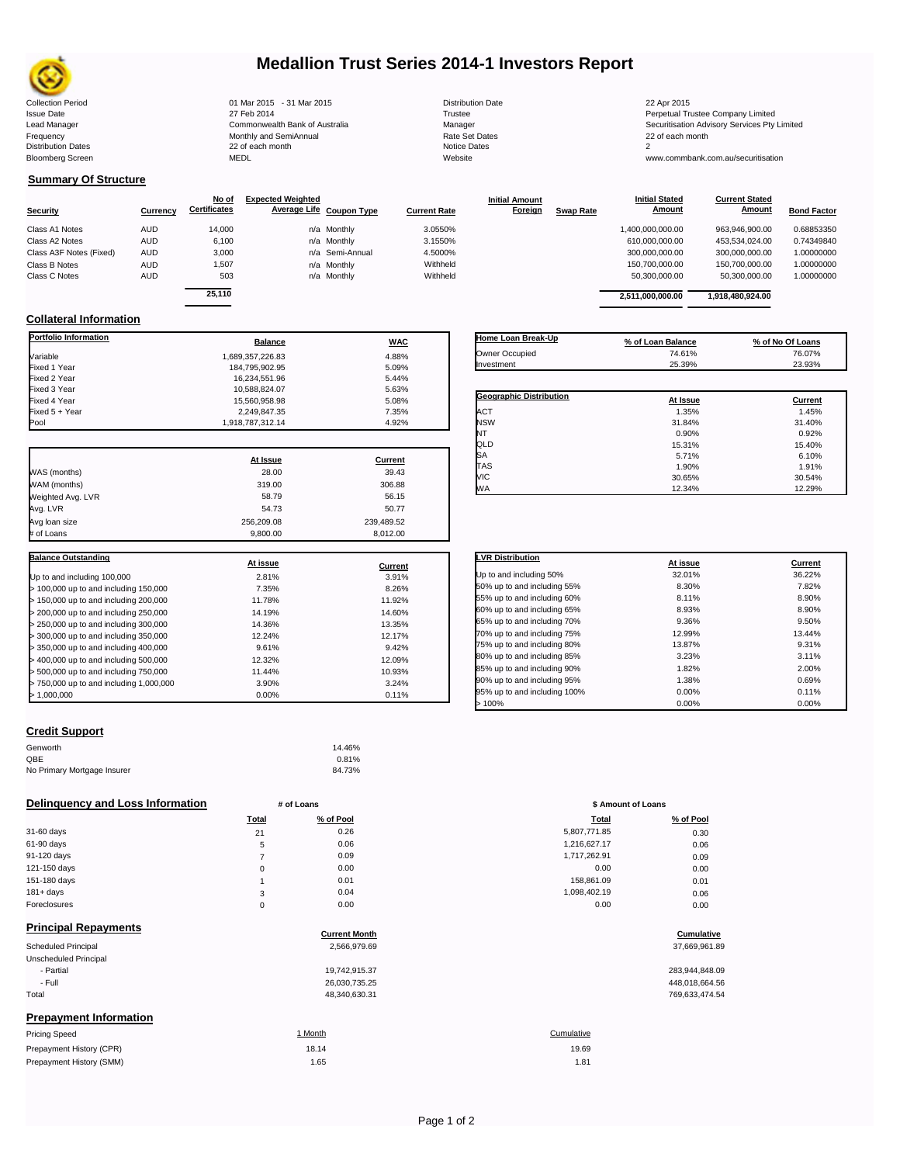

# **Medallion Trust Series 2014-1 Investors Report**

| <b>Collection Period</b>  | 01 Mar 2015 - 31 Mar 2015      | <b>Distribution Date</b> | 22 Apr 2015                             |
|---------------------------|--------------------------------|--------------------------|-----------------------------------------|
| <b>Issue Date</b>         | 27 Feb 2014                    | Trustee                  | Perpetual Trustee Company Limited       |
| Lead Manager              | Commonwealth Bank of Australia | Manager                  | Securitisation Advisory Services Pty Li |
| Frequency                 | Monthly and SemiAnnual         | <b>Rate Set Dates</b>    | 22 of each month                        |
| <b>Distribution Dates</b> | 22 of each month               | Notice Dates             |                                         |
| <b>Bloomberg Screen</b>   | <b>MEDL</b>                    | Website                  | www.commbank.com.au/securitisation      |
|                           |                                |                          |                                         |

**Current Stated** 

## **Summary Of Structure**

|                         |            | No of               | <b>Expected Weighted</b> |                 |                     | <b>Initial Amount</b> |                  | <b>Initial Stated</b> | <b>Current Stated</b> |                    |
|-------------------------|------------|---------------------|--------------------------|-----------------|---------------------|-----------------------|------------------|-----------------------|-----------------------|--------------------|
| <b>Security</b>         | Currency   | <b>Certificates</b> | Average Life Coupon Type |                 | <b>Current Rate</b> | Foreign               | <b>Swap Rate</b> | Amount                | Amount                | <b>Bond Factor</b> |
| Class A1 Notes          | <b>AUD</b> | 14,000              | n/a Monthly              |                 | 3.0550%             |                       |                  | 1.400.000.000.00      | 963.946.900.00        | 0.68853350         |
| Class A2 Notes          | <b>AUD</b> | 6,100               | n/a Monthly              |                 | 3.1550%             |                       |                  | 610,000,000.00        | 453,534,024.00        | 0.74349840         |
| Class A3F Notes (Fixed) | <b>AUD</b> | 3,000               |                          | n/a Semi-Annual | 4.5000%             |                       |                  | 300.000.000.00        | 300.000.000.00        | 1.00000000         |
| Class B Notes           | <b>AUD</b> | 1.507               | n/a Monthly              |                 | Withheld            |                       |                  | 150,700,000.00        | 150.700.000.00        | 1.00000000         |
| Class C Notes           | <b>AUD</b> | 503                 | n/a Monthly              |                 | Withheld            |                       |                  | 50,300,000.00         | 50,300,000.00         | 1.00000000         |
|                         |            | -- - - -            |                          |                 |                     |                       |                  |                       |                       |                    |

|          | No of               | <b>Expected Weighted</b> |                          |                     | <b>Initial Amount</b> |                  | <b>Initial Stated</b> | <b>Current Stated</b> |                    |
|----------|---------------------|--------------------------|--------------------------|---------------------|-----------------------|------------------|-----------------------|-----------------------|--------------------|
| Currency | <b>Certificates</b> |                          | Average Life Coupon Type | <b>Current Rate</b> | Foreign               | <b>Swap Rate</b> | Amount                | Amount                | <b>Bond Factor</b> |
| AUD      | 14.000              |                          | n/a Monthly              | 3.0550%             |                       |                  | 1,400,000,000.00      | 963.946.900.00        | 0.68853350         |
| AUD      | 6,100               |                          | n/a Monthly              | 3.1550%             |                       |                  | 610.000.000.00        | 453.534.024.00        | 0.74349840         |
| AUD      | 3.000               |                          | n/a Semi-Annual          | 4.5000%             |                       |                  | 300,000,000.00        | 300,000,000.00        | 1.00000000         |
| AUD      | 1,507               |                          | n/a Monthly              | Withheld            |                       |                  | 150.700.000.00        | 150.700.000.00        | 1.00000000         |
| AUD      | 503                 |                          | n/a Monthly              | Withheld            |                       |                  | 50.300.000.00         | 50.300.000.00         | 1.00000000         |
|          | 25.110              |                          |                          |                     |                       |                  | 2.511.000.000.00      | 1.918.480.924.00      |                    |
|          |                     |                          |                          |                     |                       |                  |                       |                       |                    |

**Initial Stated** 

## **Collateral Information**

| <b>Portfolio Information</b>            | <b>Balance</b>   | <b>WAC</b> |
|-----------------------------------------|------------------|------------|
| Variable                                | 1.689.357.226.83 | 4.88%      |
| Fixed 1 Year                            | 184,795,902.95   | 5.09%      |
| Fixed 2 Year                            | 16,234,551.96    | 5.44%      |
| Fixed 3 Year                            | 10,588,824.07    | 5.63%      |
| Fixed 4 Year                            | 15.560.958.98    | 5.08%      |
| Fixed 5 + Year                          | 2,249,847.35     | 7.35%      |
| Pool                                    | 1,918,787,312.14 | 4.92%      |
|                                         | At Issue         | Current    |
| WAS (months)                            | 28.00            | 39.43      |
| WAM (months)                            | 319.00           | 306.88     |
| Weighted Avg. LVR                       | 58.79            | 56.15      |
| Avg. LVR                                | 54.73            | 50.77      |
| Avg loan size                           | 256,209.08       | 239.489.52 |
| # of Loans                              | 9,800.00         | 8,012.00   |
| <b>Balance Outstanding</b>              |                  |            |
|                                         | At issue         | Current    |
| Up to and including 100,000             | 2.81%            | 3.91%      |
| > 100,000 up to and including 150,000   | 7.35%            | 8.26%      |
| > 150,000 up to and including 200,000   | 11.78%           | 11.92%     |
| > 200,000 up to and including 250,000   | 14.19%           | 14.60%     |
| > 250,000 up to and including 300,000   | 14.36%           | 13.35%     |
| > 300,000 up to and including 350,000   | 12.24%           | 12.17%     |
| > 350,000 up to and including 400,000   | 9.61%            | 9.42%      |
| > 400,000 up to and including 500,000   | 12.32%           | 12.09%     |
| > 500,000 up to and including 750,000   | 11.44%           | 10.93%     |
| > 750,000 up to and including 1,000,000 | 3.90%            | 3.24%      |
| > 1,000,000                             | 0.00%            | 0.11%      |

| Home Loan Break-Up      | % of Loan Balance | % of No Of Loans |
|-------------------------|-------------------|------------------|
| Owner Occupied          | 74.61%            | 76.07%           |
| Investment              | 25.39%            | 23.93%           |
|                         |                   |                  |
| Geographic Distribution | At Issue          | Current          |
| <b>ACT</b>              | 1.35%             | 1.45%            |
| <b>NSW</b>              | 31.84%            | 31.40%           |
| NT                      | 0.90%             | 0.92%            |
| QLD                     | 15.31%            | 15.40%           |
| <b>SA</b>               | 5.71%             | 6.10%            |
| TAS                     | 1.90%             | 1.91%            |
| VIC                     | 30.65%            | 30.54%           |
| <b>WA</b>               | 12.34%            | 12.29%           |

| <b>LVR Distribution</b>      | At issue | Current |
|------------------------------|----------|---------|
| Up to and including 50%      | 32.01%   | 36.22%  |
| 50% up to and including 55%  | 8.30%    | 7.82%   |
| 55% up to and including 60%  | 8.11%    | 8.90%   |
| 60% up to and including 65%  | 8.93%    | 8.90%   |
| 65% up to and including 70%  | 9.36%    | 9.50%   |
| 70% up to and including 75%  | 12.99%   | 13.44%  |
| 75% up to and including 80%  | 13.87%   | 9.31%   |
| 80% up to and including 85%  | 3.23%    | 3.11%   |
| 85% up to and including 90%  | 1.82%    | 2.00%   |
| 90% up to and including 95%  | 1.38%    | 0.69%   |
| 95% up to and including 100% | 0.00%    | 0.11%   |
| >100%                        | 0.00%    | 0.00%   |

### **Credit Support**

Prepayment History (SMM)

| Genworth                    | 14.46% |
|-----------------------------|--------|
| OBE                         | 0.81%  |
| No Primary Mortgage Insurer | 84.73% |

### **Delinquency and Loss Information # of Loans # of Loans \$ Amount of Loans**

|              | Total    | % of Pool | Total        | % of Pool |
|--------------|----------|-----------|--------------|-----------|
| 31-60 days   | 21       | 0.26      | 5,807,771.85 | 0.30      |
| 61-90 days   | 5        | 0.06      | 1,216,627.17 | 0.06      |
| 91-120 days  |          | 0.09      | 1,717,262.91 | 0.09      |
| 121-150 days | $\Omega$ | 0.00      | 0.00         | 0.00      |
| 151-180 days |          | 0.01      | 158,861.09   | 0.01      |
| $181 + days$ | 3        | 0.04      | 1,098,402.19 | 0.06      |
| Foreclosures | $\Omega$ | 0.00      | 0.00         | 0.00      |
|              |          |           |              |           |

| <b>Principal Repayments</b>   | <b>Current Month</b> | Cumulative     |
|-------------------------------|----------------------|----------------|
|                               |                      |                |
| Scheduled Principal           | 2,566,979.69         | 37,669,961.89  |
| Unscheduled Principal         |                      |                |
| - Partial                     | 19,742,915.37        | 283,944,848.09 |
| - Full                        | 26,030,735.25        | 448,018,664.56 |
| Total                         | 48,340,630.31        | 769,633,474.54 |
| <b>Prepayment Information</b> |                      |                |
| <b>Pricing Speed</b>          | 1 Month              | Cumulative     |
| Prepayment History (CPR)      | 18.14                | 19.69          |

| Total | % of Pool | <b>Total</b> | % of Pool |
|-------|-----------|--------------|-----------|
| 21    | 0.26      | 5,807,771.85 | 0.30      |
| 5     | 0.06      | 1,216,627.17 | 0.06      |
| 7     | 0.09      | 1,717,262.91 | 0.09      |
| 0     | 0.00      | 0.00         | 0.00      |
| 1     | 0.01      | 158,861.09   | 0.01      |
| 3     | 0.04      | 1,098,402.19 | 0.06      |
| 0     | 0.00      | 0.00         | 0.00      |
|       |           |              |           |

## **<u>Cumulative</u>**

| 283,944,848.09 |
|----------------|
| 448,018,664.56 |
| 769.633.474.54 |

 $1.65$  1.65